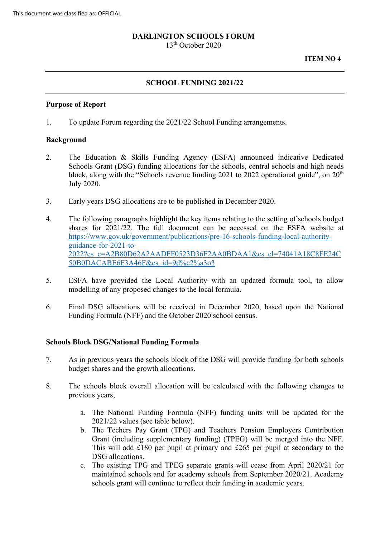### **DARLINGTON SCHOOLS FORUM**

13th October 2020

**ITEM NO 4** 

## **SCHOOL FUNDING 2021/22**

#### **Purpose of Report**

1. To update Forum regarding the 2021/22 School Funding arrangements.

### **Background**

- 2. The Education & Skills Funding Agency (ESFA) announced indicative Dedicated block, along with the "Schools revenue funding 2021 to 2022 operational guide", on  $20<sup>th</sup>$ July 2020. Schools Grant (DSG) funding allocations for the schools, central schools and high needs
- July 2020. 3. Early years DSG allocations are to be published in December 2020.
- shares for 2021/22. The full document can be accessed on the ESFA website at 50B0DACABE6F3A46F&es id=9d%c2%a3o3 4. The following paragraphs highlight the key items relating to the setting of schools budget [https://www.gov.uk/government/publications/pre-16-schools-funding-local-authority](https://www.gov.uk/government/publications/pre-16-schools-funding-local-authority-guidance-for-2021-to-2022?es_c=A2B80D62A2AADFF0523D36F2AA0BDAA1&es_cl=74041A18C8FE24C50B0DACABE6F3A46F&es_id=9d%c2%a3o3)[guidance-for-2021-to-](https://www.gov.uk/government/publications/pre-16-schools-funding-local-authority-guidance-for-2021-to-2022?es_c=A2B80D62A2AADFF0523D36F2AA0BDAA1&es_cl=74041A18C8FE24C50B0DACABE6F3A46F&es_id=9d%c2%a3o3)[2022?es\\_c=A2B80D62A2AADFF0523D36F2AA0BDAA1&es\\_cl=74041A18C8FE24C](https://www.gov.uk/government/publications/pre-16-schools-funding-local-authority-guidance-for-2021-to-2022?es_c=A2B80D62A2AADFF0523D36F2AA0BDAA1&es_cl=74041A18C8FE24C50B0DACABE6F3A46F&es_id=9d%c2%a3o3)
- 50B0DACABE6F3A46F&es\_id=9d%c2%a3o3<br>5. ESFA have provided the Local Authority with an updated formula tool, to allow modelling of any proposed changes to the local formula.
- 6. Final DSG allocations will be received in December 2020, based upon the National Funding Formula (NFF) and the October 2020 school census.

### **Schools Block DSG/National Funding Formula**

- 7. As in previous years the schools block of the DSG will provide funding for both schools budget shares and the growth allocations.
- 8. The schools block overall allocation will be calculated with the following changes to previous years,
	- a. The National Funding Formula (NFF) funding units will be updated for the 2021/22 values (see table below).
	- Grant (including supplementary funding) (TPEG) will be merged into the NFF. b. The Techers Pay Grant (TPG) and Teachers Pension Employers Contribution This will add £180 per pupil at primary and £265 per pupil at secondary to the DSG allocations.
	- c. The existing TPG and TPEG separate grants will cease from April 2020/21 for maintained schools and for academy schools from September 2020/21. Academy schools grant will continue to reflect their funding in academic years.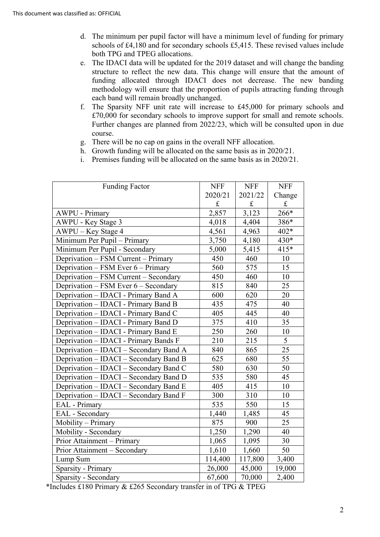- both TPG and TPEG allocations. d. The minimum per pupil factor will have a minimum level of funding for primary schools of £4,180 and for secondary schools £5,415. These revised values include
- e. The IDACI data will be updated for the 2019 dataset and will change the banding structure to reflect the new data. This change will ensure that the amount of each band will remain broadly unchanged. funding allocated through IDACI does not decrease. The new banding methodology will ensure that the proportion of pupils attracting funding through
- £70,000 for secondary schools to improve support for small and remote schools. f. The Sparsity NFF unit rate will increase to £45,000 for primary schools and Further changes are planned from 2022/23, which will be consulted upon in due course.
- g. There will be no cap on gains in the overall NFF allocation.
- h. Growth funding will be allocated on the same basis as in 2020/21.
- i. Premises funding will be allocated on the same basis as in 2020/21.

| <b>Funding Factor</b>                  | <b>NFF</b> | <b>NFF</b>  | <b>NFF</b>  |
|----------------------------------------|------------|-------------|-------------|
|                                        | 2020/21    | 2021/22     | Change      |
|                                        | $\pounds$  | $\mathbf f$ | $\mathbf f$ |
| <b>AWPU - Primary</b>                  | 2,857      | 3,123       | 266*        |
| AWPU - Key Stage 3                     | 4,018      | 4,404       | 386*        |
| AWPU - Key Stage 4                     | 4,561      | 4,963       | 402*        |
| Minimum Per Pupil - Primary            | 3,750      | 4,180       | 430*        |
| Minimum Per Pupil - Secondary          | 5,000      | 5,415       | $415*$      |
| Deprivation - FSM Current - Primary    | 450        | 460         | 10          |
| Deprivation – FSM Ever 6 – Primary     | 560        | 575         | 15          |
| Deprivation - FSM Current - Secondary  | 450        | 460         | 10          |
| Deprivation - FSM Ever 6 - Secondary   | 815        | 840         | 25          |
| Deprivation – IDACI - Primary Band A   | 600        | 620         | 20          |
| Deprivation – IDACI - Primary Band B   | 435        | 475         | 40          |
| Deprivation - IDACI - Primary Band C   | 405        | 445         | 40          |
| Deprivation - IDACI - Primary Band D   | 375        | 410         | 35          |
| Deprivation – IDACI - Primary Band E   | 250        | 260         | 10          |
| Deprivation – IDACI - Primary Bands F  | 210        | 215         | 5           |
| Deprivation - IDACI - Secondary Band A | 840        | 865         | 25          |
| Deprivation - IDACI - Secondary Band B | 625        | 680         | 55          |
| Deprivation – IDACI – Secondary Band C | 580        | 630         | 50          |
| Deprivation - IDACI - Secondary Band D | 535        | 580         | 45          |
| Deprivation - IDACI - Secondary Band E | 405        | 415         | 10          |
| Deprivation – IDACI – Secondary Band F | 300        | 310         | 10          |
| <b>EAL</b> - Primary                   | 535        | 550         | 15          |
| EAL - Secondary                        | 1,440      | 1,485       | 45          |
| Mobility - Primary                     | 875        | 900         | 25          |
| Mobility - Secondary                   | 1,250      | 1,290       | 40          |
| Prior Attainment – Primary             | 1,065      | 1,095       | 30          |
| Prior Attainment - Secondary           | 1,610      | 1,660       | 50          |
| Lump Sum                               | 114,400    | 117,800     | 3,400       |
| Sparsity - Primary                     | 26,000     | 45,000      | 19,000      |
| Sparsity - Secondary                   | 67,600     | 70,000      | 2,400       |

\*Includes £180 Primary & £265 Secondary transfer in of TPG & TPEG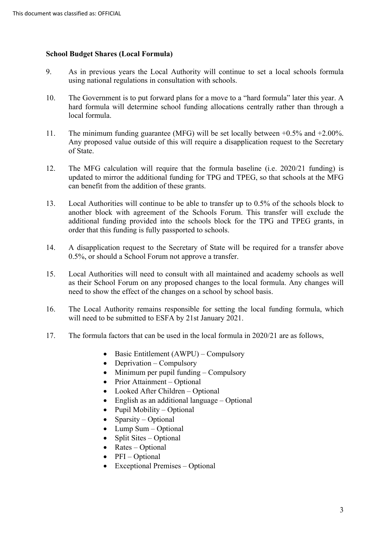## **School Budget Shares (Local Formula)**

- 9. As in previous years the Local Authority will continue to set a local schools formula using national regulations in consultation with schools.
- hard formula will determine school funding allocations centrally rather than through a 10. The Government is to put forward plans for a move to a "hard formula" later this year. A local formula.
- Any proposed value outside of this will require a disapplication request to the Secretary 11. The minimum funding guarantee (MFG) will be set locally between +0.5% and +2.00%. of State.
- updated to mirror the additional funding for TPG and TPEG, so that schools at the MFG can benefit from the addition of these grants. 12. The MFG calculation will require that the formula baseline (i.e. 2020/21 funding) is
- additional funding provided into the schools block for the TPG and TPEG grants, in 13. Local Authorities will continue to be able to transfer up to 0.5% of the schools block to another block with agreement of the Schools Forum. This transfer will exclude the order that this funding is fully passported to schools.
- 14. A disapplication request to the Secretary of State will be required for a transfer above 0.5%, or should a School Forum not approve a transfer.
- 15. Local Authorities will need to consult with all maintained and academy schools as well as their School Forum on any proposed changes to the local formula. Any changes will need to show the effect of the changes on a school by school basis.
- 16. The Local Authority remains responsible for setting the local funding formula, which will need to be submitted to ESFA by 21st January 2021.
- 17. The formula factors that can be used in the local formula in 2020/21 are as follows,
	- Basic Entitlement (AWPU) Compulsory
	- Deprivation Compulsory
	- Minimum per pupil funding Compulsory
	- Prior Attainment Optional
	- Looked After Children Optional
	- English as an additional language Optional
	- Pupil Mobility Optional
	- Sparsity Optional
	- Lump Sum Optional
	- Split Sites Optional
	- Rates Optional
	- PFI Optional
	- Exceptional Premises Optional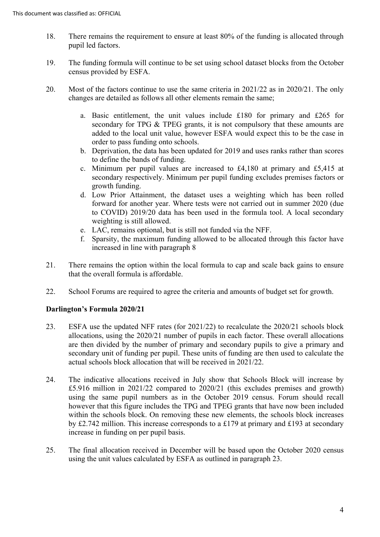- 18. There remains the requirement to ensure at least 80% of the funding is allocated through pupil led factors.
- 19. The funding formula will continue to be set using school dataset blocks from the October census provided by ESFA.
- 20. Most of the factors continue to use the same criteria in 2021/22 as in 2020/21. The only changes are detailed as follows all other elements remain the same;
	- a. Basic entitlement, the unit values include £180 for primary and £265 for added to the local unit value, however ESFA would expect this to be the case in secondary for TPG & TPEG grants, it is not compulsory that these amounts are order to pass funding onto schools.
	- to define the bands of funding. b. Deprivation, the data has been updated for 2019 and uses ranks rather than scores
	- secondary respectively. Minimum per pupil funding excludes premises factors or c. Minimum per pupil values are increased to £4,180 at primary and £5,415 at growth funding.
	- forward for another year. Where tests were not carried out in summer 2020 (due d. Low Prior Attainment, the dataset uses a weighting which has been rolled to COVID) 2019/20 data has been used in the formula tool. A local secondary weighting is still allowed.
	- e. LAC, remains optional, but is still not funded via the NFF.
	- increased in line with paragraph 8 f. Sparsity, the maximum funding allowed to be allocated through this factor have
- 21. There remains the option within the local formula to cap and scale back gains to ensure that the overall formula is affordable.
- 22. School Forums are required to agree the criteria and amounts of budget set for growth.

# **Darlington's Formula 2020/21**

- allocations, using the 2020/21 number of pupils in each factor. These overall allocations are then divided by the number of primary and secondary pupils to give a primary and 23. ESFA use the updated NFF rates (for 2021/22) to recalculate the 2020/21 schools block secondary unit of funding per pupil. These units of funding are then used to calculate the actual schools block allocation that will be received in 2021/22.
- using the same pupil numbers as in the October 2019 census. Forum should recall however that this figure includes the TPG and TPEG grants that have now been included 24. The indicative allocations received in July show that Schools Block will increase by £5.916 million in 2021/22 compared to 2020/21 (this excludes premises and growth) within the schools block. On removing these new elements, the schools block increases by £2.742 million. This increase corresponds to a £179 at primary and £193 at secondary increase in funding on per pupil basis.
- using the unit values calculated by ESFA as outlined in paragraph 23. 25. The final allocation received in December will be based upon the October 2020 census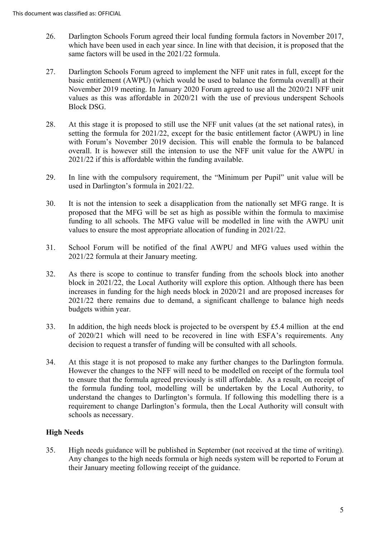- same factors will be used in the 2021/22 formula. 26. Darlington Schools Forum agreed their local funding formula factors in November 2017, which have been used in each year since. In line with that decision, it is proposed that the
- 27. Darlington Schools Forum agreed to implement the NFF unit rates in full, except for the basic entitlement (AWPU) (which would be used to balance the formula overall) at their Block DSG. November 2019 meeting. In January 2020 Forum agreed to use all the 2020/21 NFF unit values as this was affordable in 2020/21 with the use of previous underspent Schools
- 28. At this stage it is proposed to still use the NFF unit values (at the set national rates), in setting the formula for 2021/22, except for the basic entitlement factor (AWPU) in line with Forum's November 2019 decision. This will enable the formula to be balanced overall. It is however still the intension to use the NFF unit value for the AWPU in 2021/22 if this is affordable within the funding available.
- 29. In line with the compulsory requirement, the "Minimum per Pupil" unit value will be used in Darlington's formula in 2021/22.
- 30. It is not the intension to seek a disapplication from the nationally set MFG range. It is funding to all schools. The MFG value will be modelled in line with the AWPU unit proposed that the MFG will be set as high as possible within the formula to maximise values to ensure the most appropriate allocation of funding in 2021/22.
- 31. School Forum will be notified of the final AWPU and MFG values used within the 2021/22 formula at their January meeting.
- 32. As there is scope to continue to transfer funding from the schools block into another block in 2021/22, the Local Authority will explore this option. Although there has been increases in funding for the high needs block in 2020/21 and are proposed increases for 2021/22 there remains due to demand, a significant challenge to balance high needs budgets within year.
- 33. In addition, the high needs block is projected to be overspent by £5.4 million at the end of 2020/21 which will need to be recovered in line with ESFA's requirements. Any decision to request a transfer of funding will be consulted with all schools.
- understand the changes to Darlington's formula. If following this modelling there is a 34. At this stage it is not proposed to make any further changes to the Darlington formula. However the changes to the NFF will need to be modelled on receipt of the formula tool to ensure that the formula agreed previously is still affordable. As a result, on receipt of the formula funding tool, modelling will be undertaken by the Local Authority, to requirement to change Darlington's formula, then the Local Authority will consult with schools as necessary.

# **High Needs**

 their January meeting following receipt of the guidance. 35. High needs guidance will be published in September (not received at the time of writing). Any changes to the high needs formula or high needs system will be reported to Forum at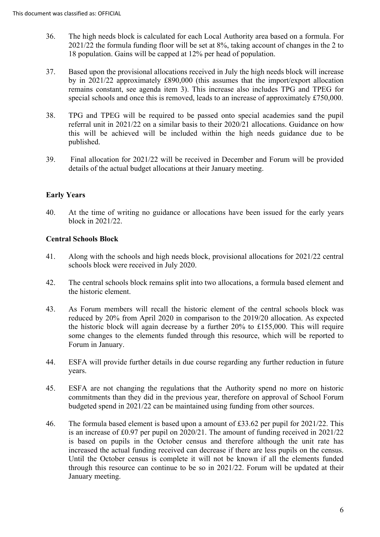- 36. The high needs block is calculated for each Local Authority area based on a formula. For 2021/22 the formula funding floor will be set at 8%, taking account of changes in the 2 to 18 population. Gains will be capped at 12% per head of population.
- by in 2021/22 approximately £890,000 (this assumes that the import/export allocation remains constant, see agenda item 3). This increase also includes TPG and TPEG for special schools and once this is removed, leads to an increase of approximately £750,000. 37. Based upon the provisional allocations received in July the high needs block will increase
- 38. TPG and TPEG will be required to be passed onto special academies sand the pupil this will be achieved will be included within the high needs guidance due to be referral unit in 2021/22 on a similar basis to their 2020/21 allocations. Guidance on how published.
- 39. Final allocation for 2021/22 will be received in December and Forum will be provided details of the actual budget allocations at their January meeting.

# **Early Years**

40. At the time of writing no guidance or allocations have been issued for the early years block in 2021/22.

## **Central Schools Block**

- 41. Along with the schools and high needs block, provisional allocations for 2021/22 central schools block were received in July 2020.
- 42. The central schools block remains split into two allocations, a formula based element and the historic element.
- the historic block will again decrease by a further 20% to £155,000. This will require 43. As Forum members will recall the historic element of the central schools block was reduced by 20% from April 2020 in comparison to the 2019/20 allocation. As expected some changes to the elements funded through this resource, which will be reported to Forum in January.
- 44. ESFA will provide further details in due course regarding any further reduction in future years.
- 45. ESFA are not changing the regulations that the Authority spend no more on historic commitments than they did in the previous year, therefore on approval of School Forum budgeted spend in 2021/22 can be maintained using funding from other sources.
- 46. The formula based element is based upon a amount of £33.62 per pupil for 2021/22. This is based on pupils in the October census and therefore although the unit rate has increased the actual funding received can decrease if there are less pupils on the census. is an increase of £0.97 per pupil on 2020/21. The amount of funding received in 2021/22 Until the October census is complete it will not be known if all the elements funded through this resource can continue to be so in 2021/22. Forum will be updated at their January meeting.